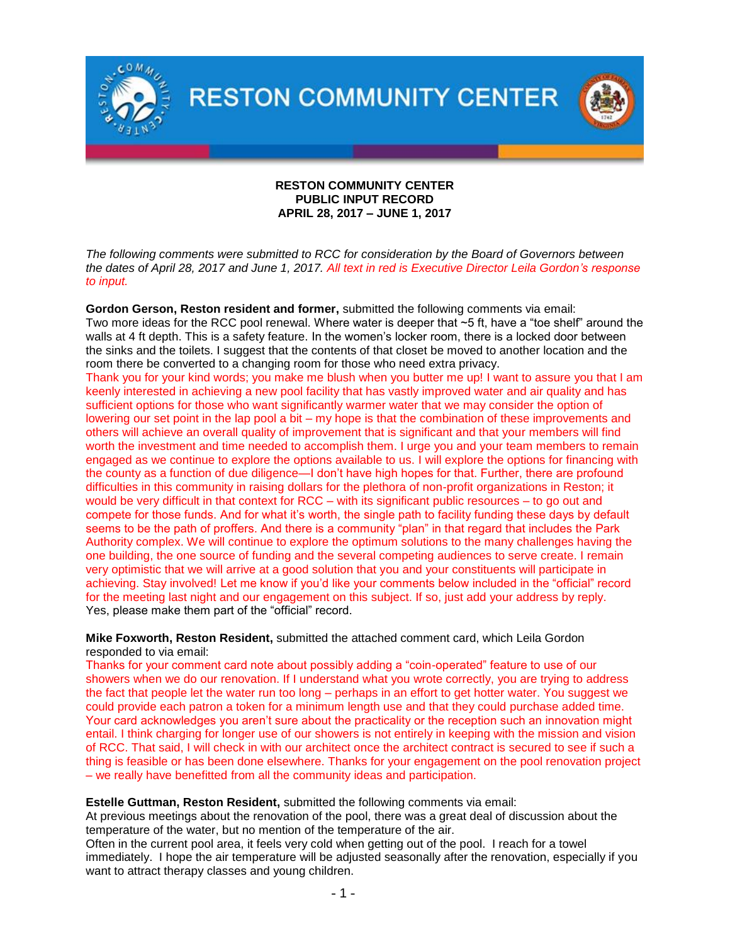

## **RESTON COMMUNITY CENTER PUBLIC INPUT RECORD APRIL 28, 2017 – JUNE 1, 2017**

*The following comments were submitted to RCC for consideration by the Board of Governors between the dates of April 28, 2017 and June 1, 2017. All text in red is Executive Director Leila Gordon's response to input.* 

**Gordon Gerson, Reston resident and former,** submitted the following comments via email: Two more ideas for the RCC pool renewal. Where water is deeper that ~5 ft, have a "toe shelf" around the walls at 4 ft depth. This is a safety feature. In the women's locker room, there is a locked door between the sinks and the toilets. I suggest that the contents of that closet be moved to another location and the room there be converted to a changing room for those who need extra privacy.

Thank you for your kind words; you make me blush when you butter me up! I want to assure you that I am keenly interested in achieving a new pool facility that has vastly improved water and air quality and has sufficient options for those who want significantly warmer water that we may consider the option of lowering our set point in the lap pool a bit – my hope is that the combination of these improvements and others will achieve an overall quality of improvement that is significant and that your members will find worth the investment and time needed to accomplish them. I urge you and your team members to remain engaged as we continue to explore the options available to us. I will explore the options for financing with the county as a function of due diligence—I don't have high hopes for that. Further, there are profound difficulties in this community in raising dollars for the plethora of non-profit organizations in Reston; it would be very difficult in that context for RCC – with its significant public resources – to go out and compete for those funds. And for what it's worth, the single path to facility funding these days by default seems to be the path of proffers. And there is a community "plan" in that regard that includes the Park Authority complex. We will continue to explore the optimum solutions to the many challenges having the one building, the one source of funding and the several competing audiences to serve create. I remain very optimistic that we will arrive at a good solution that you and your constituents will participate in achieving. Stay involved! Let me know if you'd like your comments below included in the "official" record for the meeting last night and our engagement on this subject. If so, just add your address by reply. Yes, please make them part of the "official" record.

**Mike Foxworth, Reston Resident,** submitted the attached comment card, which Leila Gordon responded to via email:

Thanks for your comment card note about possibly adding a "coin-operated" feature to use of our showers when we do our renovation. If I understand what you wrote correctly, you are trying to address the fact that people let the water run too long – perhaps in an effort to get hotter water. You suggest we could provide each patron a token for a minimum length use and that they could purchase added time. Your card acknowledges you aren't sure about the practicality or the reception such an innovation might entail. I think charging for longer use of our showers is not entirely in keeping with the mission and vision of RCC. That said, I will check in with our architect once the architect contract is secured to see if such a thing is feasible or has been done elsewhere. Thanks for your engagement on the pool renovation project – we really have benefitted from all the community ideas and participation.

## **Estelle Guttman, Reston Resident,** submitted the following comments via email:

At previous meetings about the renovation of the pool, there was a great deal of discussion about the temperature of the water, but no mention of the temperature of the air.

Often in the current pool area, it feels very cold when getting out of the pool. I reach for a towel immediately. I hope the air temperature will be adjusted seasonally after the renovation, especially if you want to attract therapy classes and young children.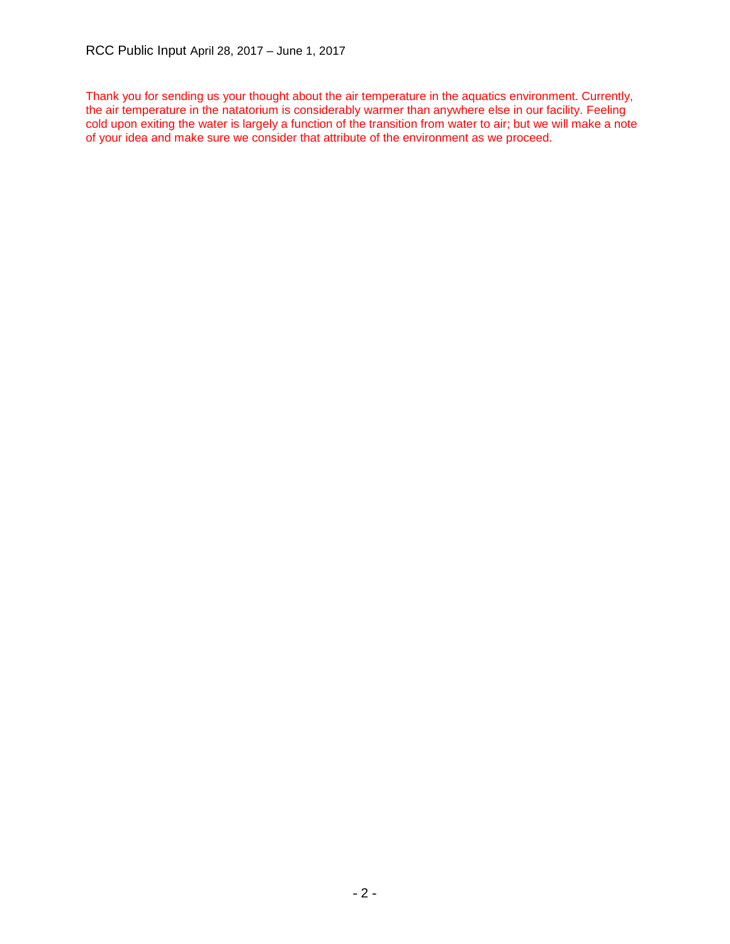Thank you for sending us your thought about the air temperature in the aquatics environment. Currently, the air temperature in the natatorium is considerably warmer than anywhere else in our facility. Feeling cold upon exiting the water is largely a function of the transition from water to air; but we will make a note of your idea and make sure we consider that attribute of the environment as we proceed.